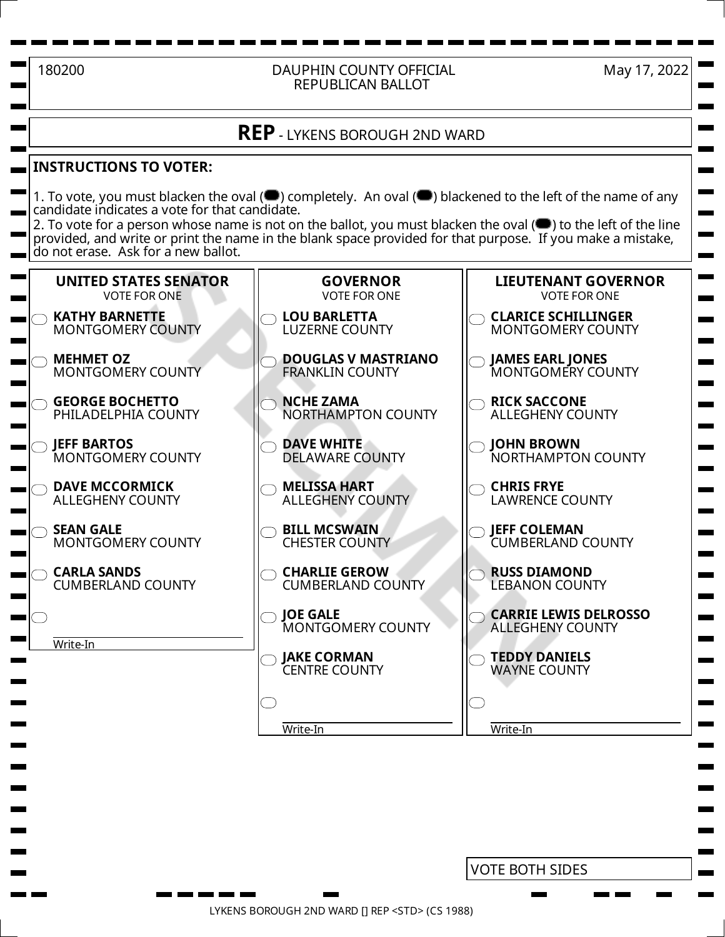## 180200 DAUPHIN COUNTY OFFICIAL REPUBLICAN BALLOT

May 17, 2022

## **REP** - LYKENS BOROUGH 2ND WARD

## **INSTRUCTIONS TO VOTER:**

1. To vote, you must blacken the oval ( $\blacksquare$ ) completely. An oval ( $\blacksquare$ ) blackened to the left of the name of any candidate indicates a vote for that candidate.

2. To vote for a person whose name is not on the ballot, you must blacken the oval  $(\bullet)$  to the left of the line provided, and write or print the name in the blank space provided for that purpose. If you make a mistake, do not erase. Ask for a new ballot.